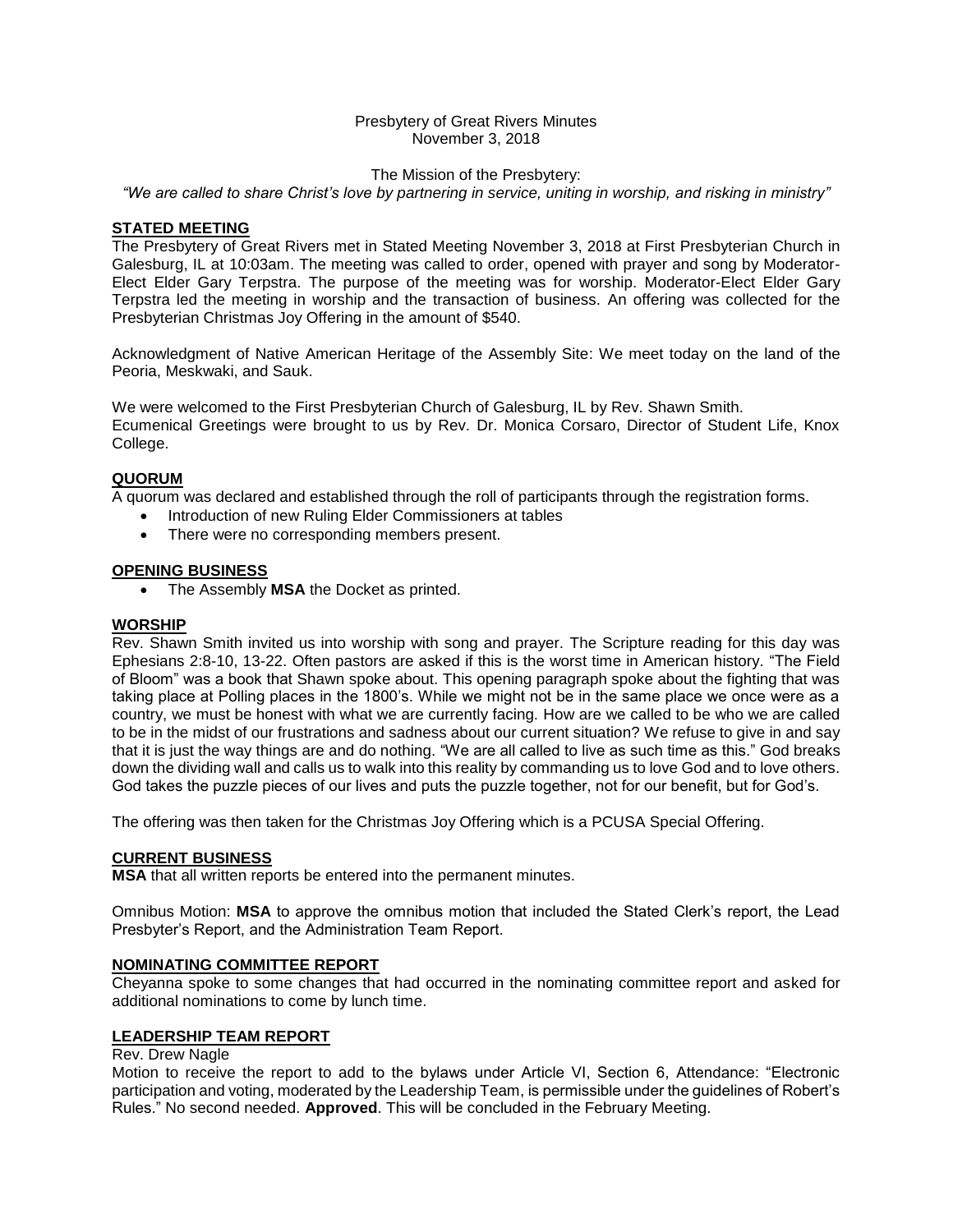### Presbytery of Great Rivers Minutes November 3, 2018

#### The Mission of the Presbytery:

*"We are called to share Christ's love by partnering in service, uniting in worship, and risking in ministry"*

#### **STATED MEETING**

The Presbytery of Great Rivers met in Stated Meeting November 3, 2018 at First Presbyterian Church in Galesburg, IL at 10:03am. The meeting was called to order, opened with prayer and song by Moderator-Elect Elder Gary Terpstra. The purpose of the meeting was for worship. Moderator-Elect Elder Gary Terpstra led the meeting in worship and the transaction of business. An offering was collected for the Presbyterian Christmas Joy Offering in the amount of \$540.

Acknowledgment of Native American Heritage of the Assembly Site: We meet today on the land of the Peoria, Meskwaki, and Sauk.

We were welcomed to the First Presbyterian Church of Galesburg, IL by Rev. Shawn Smith. Ecumenical Greetings were brought to us by Rev. Dr. Monica Corsaro, Director of Student Life, Knox College.

### **QUORUM**

A quorum was declared and established through the roll of participants through the registration forms.

- Introduction of new Ruling Elder Commissioners at tables
- There were no corresponding members present.

#### **OPENING BUSINESS**

• The Assembly **MSA** the Docket as printed.

### **WORSHIP**

Rev. Shawn Smith invited us into worship with song and prayer. The Scripture reading for this day was Ephesians 2:8-10, 13-22. Often pastors are asked if this is the worst time in American history. "The Field of Bloom" was a book that Shawn spoke about. This opening paragraph spoke about the fighting that was taking place at Polling places in the 1800's. While we might not be in the same place we once were as a country, we must be honest with what we are currently facing. How are we called to be who we are called to be in the midst of our frustrations and sadness about our current situation? We refuse to give in and say that it is just the way things are and do nothing. "We are all called to live as such time as this." God breaks down the dividing wall and calls us to walk into this reality by commanding us to love God and to love others. God takes the puzzle pieces of our lives and puts the puzzle together, not for our benefit, but for God's.

The offering was then taken for the Christmas Joy Offering which is a PCUSA Special Offering.

#### **CURRENT BUSINESS**

**MSA** that all written reports be entered into the permanent minutes.

Omnibus Motion: **MSA** to approve the omnibus motion that included the Stated Clerk's report, the Lead Presbyter's Report, and the Administration Team Report.

#### **NOMINATING COMMITTEE REPORT**

Cheyanna spoke to some changes that had occurred in the nominating committee report and asked for additional nominations to come by lunch time.

### **LEADERSHIP TEAM REPORT**

#### Rev. Drew Nagle

Motion to receive the report to add to the bylaws under Article VI, Section 6, Attendance: "Electronic participation and voting, moderated by the Leadership Team, is permissible under the guidelines of Robert's Rules." No second needed. **Approved**. This will be concluded in the February Meeting.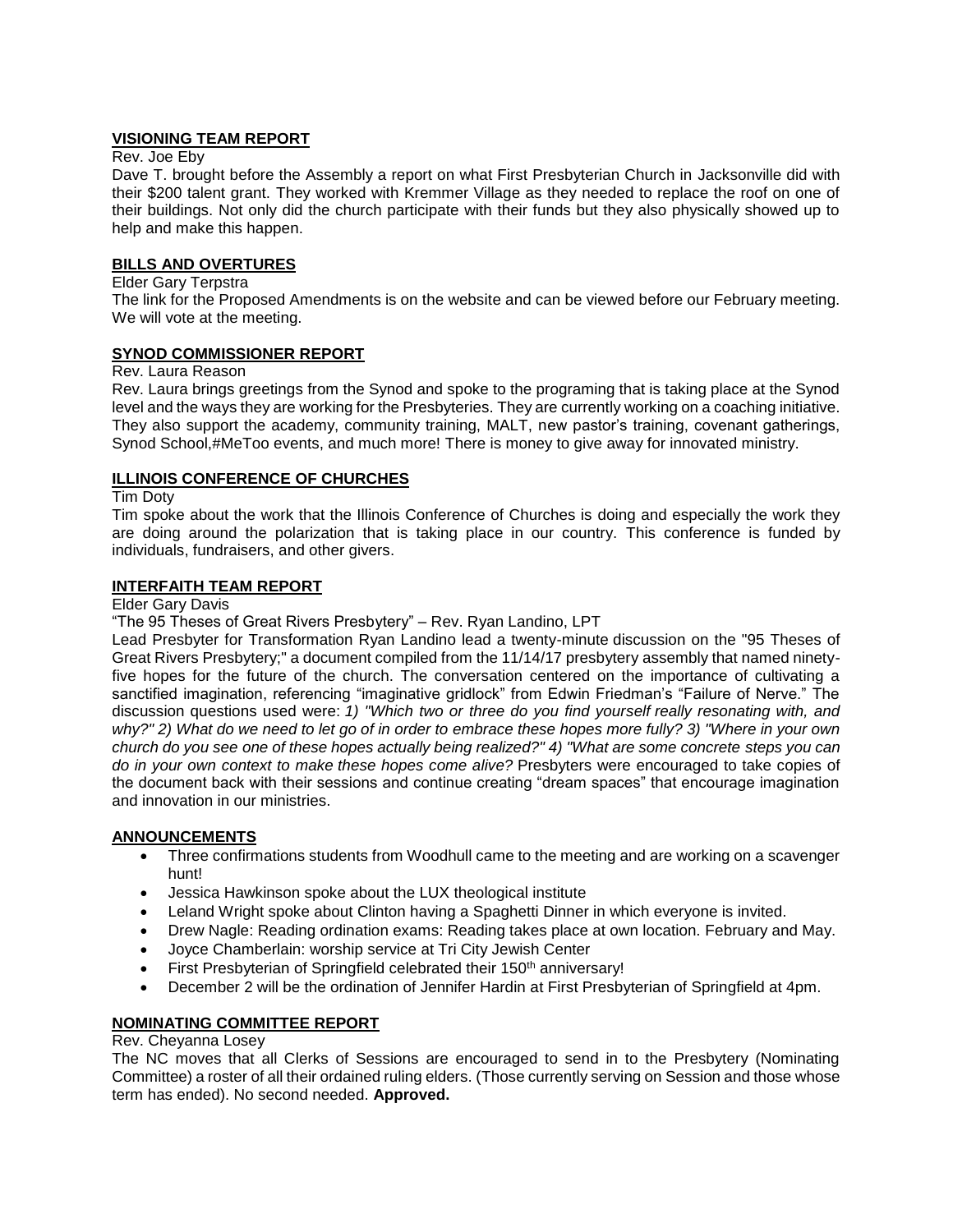## **VISIONING TEAM REPORT**

### Rev. Joe Eby

Dave T. brought before the Assembly a report on what First Presbyterian Church in Jacksonville did with their \$200 talent grant. They worked with Kremmer Village as they needed to replace the roof on one of their buildings. Not only did the church participate with their funds but they also physically showed up to help and make this happen.

## **BILLS AND OVERTURES**

## Elder Gary Terpstra

The link for the Proposed Amendments is on the website and can be viewed before our February meeting. We will vote at the meeting.

# **SYNOD COMMISSIONER REPORT**

#### Rev. Laura Reason

Rev. Laura brings greetings from the Synod and spoke to the programing that is taking place at the Synod level and the ways they are working for the Presbyteries. They are currently working on a coaching initiative. They also support the academy, community training, MALT, new pastor's training, covenant gatherings, Synod School,#MeToo events, and much more! There is money to give away for innovated ministry.

## **ILLINOIS CONFERENCE OF CHURCHES**

Tim Doty

Tim spoke about the work that the Illinois Conference of Churches is doing and especially the work they are doing around the polarization that is taking place in our country. This conference is funded by individuals, fundraisers, and other givers.

## **INTERFAITH TEAM REPORT**

Elder Gary Davis

"The 95 Theses of Great Rivers Presbytery" – Rev. Ryan Landino, LPT

Lead Presbyter for Transformation Ryan Landino lead a twenty-minute discussion on the "95 Theses of Great Rivers Presbytery;" a document compiled from the 11/14/17 presbytery assembly that named ninetyfive hopes for the future of the church. The conversation centered on the importance of cultivating a sanctified imagination, referencing "imaginative gridlock" from Edwin Friedman's "Failure of Nerve." The discussion questions used were: *1) "Which two or three do you find yourself really resonating with, and why?" 2) What do we need to let go of in order to embrace these hopes more fully? 3) "Where in your own church do you see one of these hopes actually being realized?" 4) "What are some concrete steps you can do in your own context to make these hopes come alive?* Presbyters were encouraged to take copies of the document back with their sessions and continue creating "dream spaces" that encourage imagination and innovation in our ministries.

### **ANNOUNCEMENTS**

- Three confirmations students from Woodhull came to the meeting and are working on a scavenger hunt!
- Jessica Hawkinson spoke about the LUX theological institute
- Leland Wright spoke about Clinton having a Spaghetti Dinner in which everyone is invited.
- Drew Nagle: Reading ordination exams: Reading takes place at own location. February and May.
- Joyce Chamberlain: worship service at Tri City Jewish Center
- First Presbyterian of Springfield celebrated their 150<sup>th</sup> anniversary!
- December 2 will be the ordination of Jennifer Hardin at First Presbyterian of Springfield at 4pm.

### **NOMINATING COMMITTEE REPORT**

Rev. Cheyanna Losey

The NC moves that all Clerks of Sessions are encouraged to send in to the Presbytery (Nominating Committee) a roster of all their ordained ruling elders. (Those currently serving on Session and those whose term has ended). No second needed. **Approved.**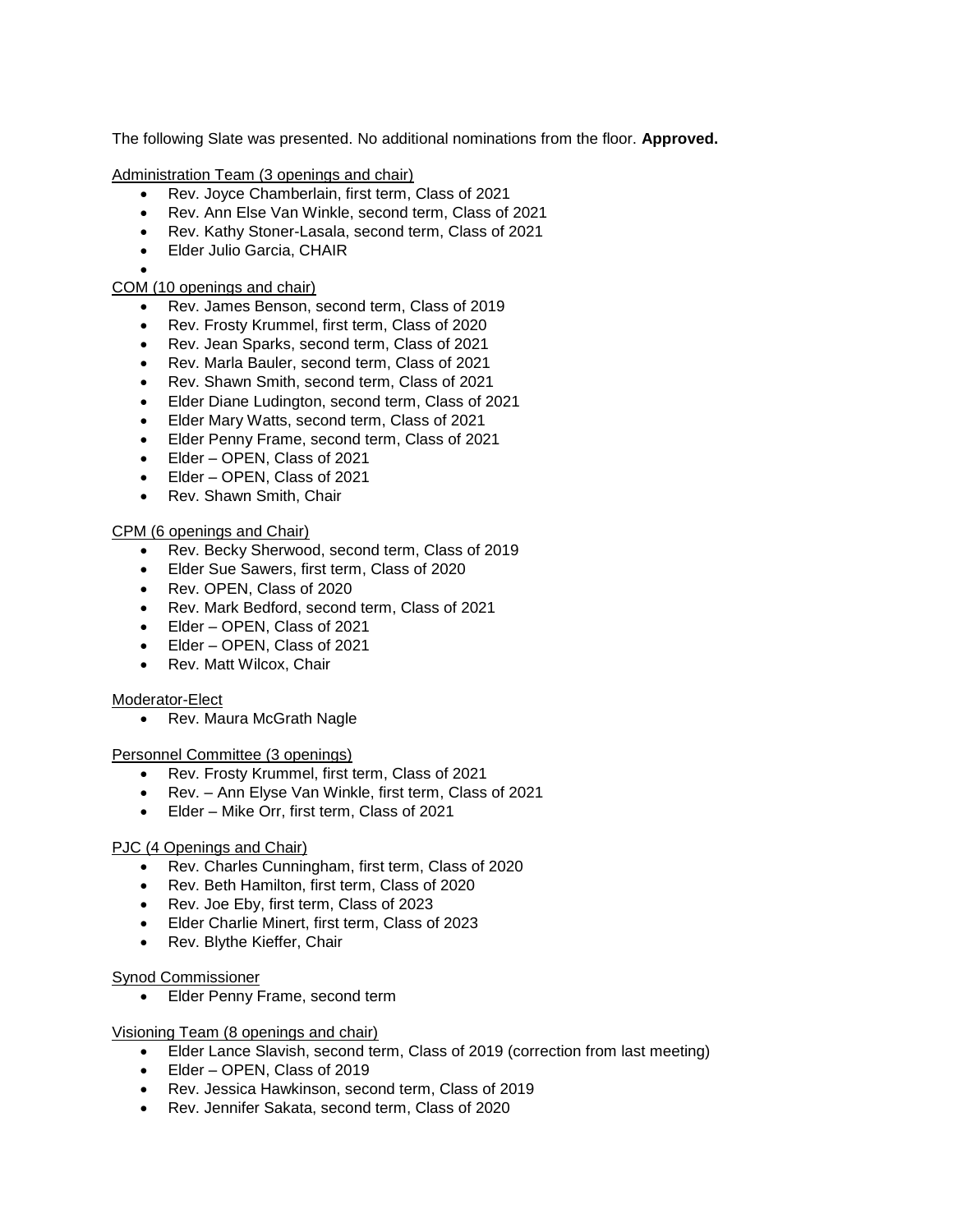The following Slate was presented. No additional nominations from the floor. **Approved.**

Administration Team (3 openings and chair)

- Rev. Joyce Chamberlain, first term, Class of 2021
- Rev. Ann Else Van Winkle, second term, Class of 2021
- Rev. Kathy Stoner-Lasala, second term, Class of 2021
- Elder Julio Garcia, CHAIR
- •

# COM (10 openings and chair)

- Rev. James Benson, second term, Class of 2019
- Rev. Frosty Krummel, first term, Class of 2020
- Rev. Jean Sparks, second term, Class of 2021
- Rev. Marla Bauler, second term, Class of 2021
- Rev. Shawn Smith, second term, Class of 2021
- Elder Diane Ludington, second term, Class of 2021
- Elder Mary Watts, second term, Class of 2021
- Elder Penny Frame, second term, Class of 2021
- Elder OPEN, Class of 2021
- Elder OPEN, Class of 2021
- Rev. Shawn Smith, Chair

## CPM (6 openings and Chair)

- Rev. Becky Sherwood, second term, Class of 2019
- Elder Sue Sawers, first term, Class of 2020
- Rev. OPEN, Class of 2020
- Rev. Mark Bedford, second term, Class of 2021
- Elder OPEN, Class of 2021
- Elder OPEN, Class of 2021
- Rev. Matt Wilcox, Chair

### Moderator-Elect

• Rev. Maura McGrath Nagle

### Personnel Committee (3 openings)

- Rev. Frosty Krummel, first term, Class of 2021
- Rev. Ann Elyse Van Winkle, first term, Class of 2021
- Elder Mike Orr, first term, Class of 2021

### PJC (4 Openings and Chair)

- Rev. Charles Cunningham, first term, Class of 2020
- Rev. Beth Hamilton, first term, Class of 2020
- Rev. Joe Eby, first term, Class of 2023
- Elder Charlie Minert, first term, Class of 2023
- Rev. Blythe Kieffer, Chair

### Synod Commissioner

• Elder Penny Frame, second term

### Visioning Team (8 openings and chair)

- Elder Lance Slavish, second term, Class of 2019 (correction from last meeting)
- Elder OPEN, Class of 2019
- Rev. Jessica Hawkinson, second term, Class of 2019
- Rev. Jennifer Sakata, second term, Class of 2020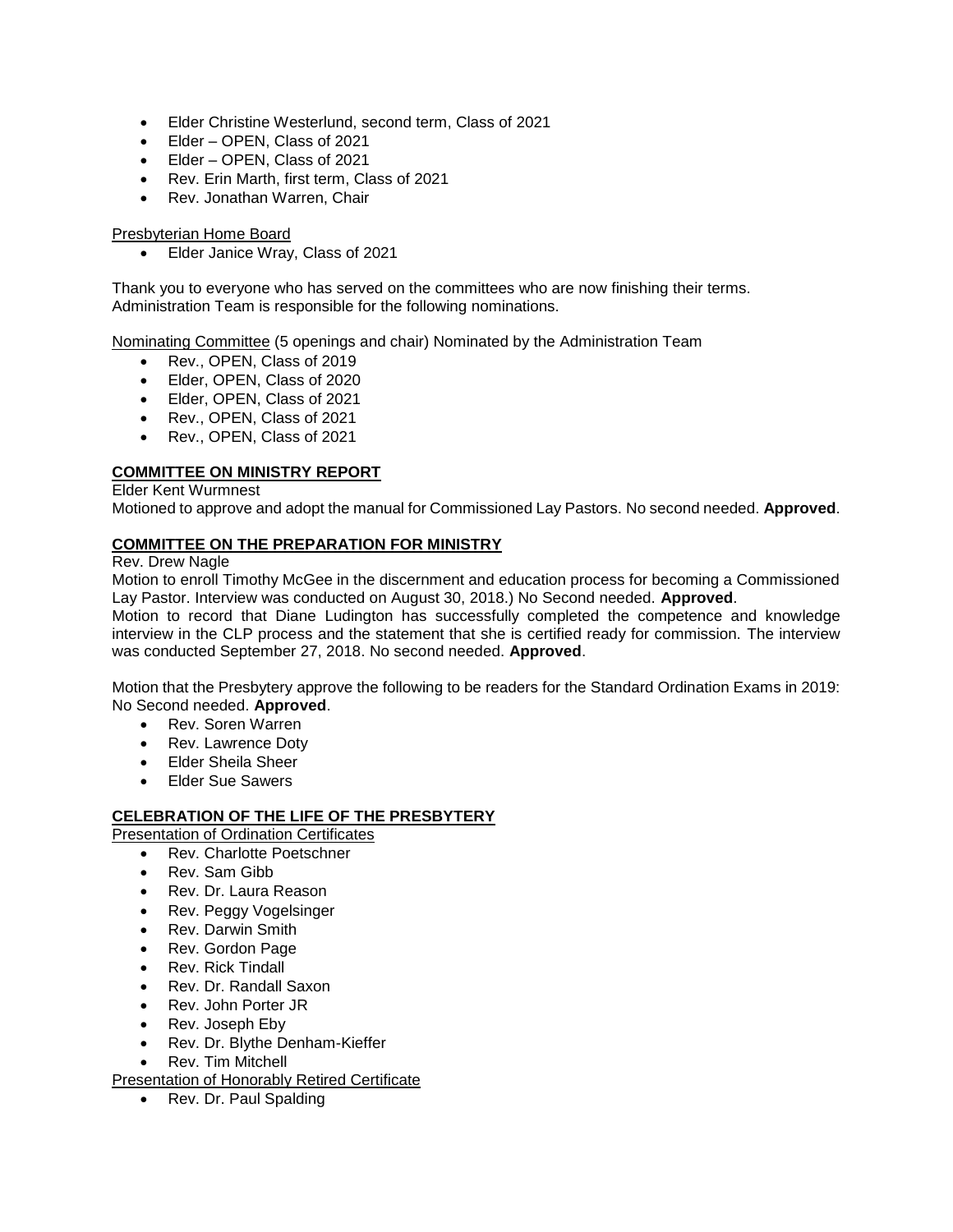- Elder Christine Westerlund, second term, Class of 2021
- Elder OPEN, Class of 2021
- Elder OPEN, Class of 2021
- Rev. Erin Marth, first term, Class of 2021
- Rev. Jonathan Warren, Chair

#### Presbyterian Home Board

• Elder Janice Wray, Class of 2021

Thank you to everyone who has served on the committees who are now finishing their terms. Administration Team is responsible for the following nominations.

Nominating Committee (5 openings and chair) Nominated by the Administration Team

- Rev., OPEN, Class of 2019
- Elder, OPEN, Class of 2020
- Elder, OPEN, Class of 2021
- Rev., OPEN, Class of 2021
- Rev., OPEN, Class of 2021

## **COMMITTEE ON MINISTRY REPORT**

#### Elder Kent Wurmnest

Motioned to approve and adopt the manual for Commissioned Lay Pastors. No second needed. **Approved**.

## **COMMITTEE ON THE PREPARATION FOR MINISTRY**

#### Rev. Drew Nagle

Motion to enroll Timothy McGee in the discernment and education process for becoming a Commissioned Lay Pastor. Interview was conducted on August 30, 2018.) No Second needed. **Approved**.

Motion to record that Diane Ludington has successfully completed the competence and knowledge interview in the CLP process and the statement that she is certified ready for commission. The interview was conducted September 27, 2018. No second needed. **Approved**.

Motion that the Presbytery approve the following to be readers for the Standard Ordination Exams in 2019: No Second needed. **Approved**.

- Rev. Soren Warren
- Rev. Lawrence Doty
- Elder Sheila Sheer
- Elder Sue Sawers

### **CELEBRATION OF THE LIFE OF THE PRESBYTERY**

Presentation of Ordination Certificates

- Rev. Charlotte Poetschner
- Rev. Sam Gibb
- Rev. Dr. Laura Reason
- Rev. Peggy Vogelsinger
- Rev. Darwin Smith
- Rev. Gordon Page
- Rev. Rick Tindall
- Rev. Dr. Randall Saxon
- Rev. John Porter JR
- Rev. Joseph Eby
- Rev. Dr. Blythe Denham-Kieffer
- Rev. Tim Mitchell

Presentation of Honorably Retired Certificate

• Rev. Dr. Paul Spalding